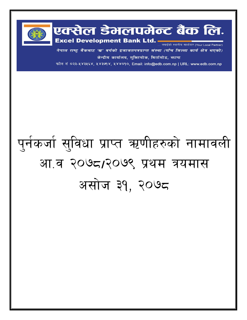

नेपाल राष्ट्र बैंकबाट 'ख' वर्गको इजाजतपत्रप्राप्त संस्था (पाँच जिल्ला कार्य क्षेत्र भएको) केन्द्रीय कार्यालय, मुक्तिचोक, बिर्तामोड, भापा

फोन नं ०२३-५४३५६४, ५४३७१४, ५४४०१०, Email: info@edb.com.np | URL: www.edb.com.np

## पुर्नकर्जा सुविधा प्राप्त ऋणीहरुको नामावली आ.व २०७८/२०७९ प्रथम त्रयमास असोज ३१, २०७८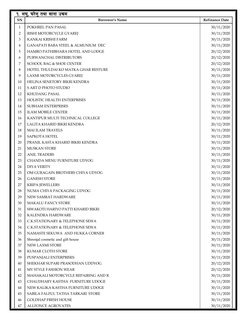| १. लघु, घरेलु तथा साना उचम |                                     |                       |  |  |  |
|----------------------------|-------------------------------------|-----------------------|--|--|--|
| SN                         | <b>Borrower's Name</b>              | <b>Refinance Date</b> |  |  |  |
| $\mathbf{1}$               | POKHREL PAN PASAL                   | 30/11/2020            |  |  |  |
| $\overline{2}$             | RISHI MOTORCYCLE GYAREJ             | 30/11/2020            |  |  |  |
| 3                          | KANKAI KRISHI FARM                  | 30/11/2020            |  |  |  |
| $\overline{4}$             | GANAPATI BABA STEEL & ALMUNIUM DEC  | 30/11/2020            |  |  |  |
| 5                          | HAMRO PATHIBHARA HOTEL AND LODGE    | 20/12/2020            |  |  |  |
| 6                          | PURWANCHAL DISTRIBUTORS             | 20/12/2020            |  |  |  |
| 7                          | <b>SCHOOL BAG &amp; SHOE CENTER</b> | 20/12/2020            |  |  |  |
| 8                          | HOTEL THULDAI KO MATKA GHAR RESTURE | 30/11/2020            |  |  |  |
| 9                          | LAXMI MOTORCYCLES GYAREJ            | 30/11/2020            |  |  |  |
| 10                         | HELINA SENETORY BIKRI KENDRA        | 30/11/2020            |  |  |  |
| 11                         | S ART D PHOTO STUDIO                | 30/11/2020            |  |  |  |
| 12                         | <b>KHUDANG PASAL</b>                | 30/11/2020            |  |  |  |
| 13                         | HOLISTIC HEALTH ENTERPRISES         | 30/11/2020            |  |  |  |
| 14                         | <b>SUBHAM ENTERPRISES</b>           | 30/11/2020            |  |  |  |
| 15                         | <b>ILAM MOBILE CENTER</b>           | 30/11/2020            |  |  |  |
| 16                         | KANTIPUR MULTI TECHNICAL COLLEGE    | 30/11/2020            |  |  |  |
| 17                         | LALITA KHARID BIKRI KENDRA          | 20/12/2020            |  |  |  |
| 18                         | <b>MAI ILAM TRAVELS</b>             | 30/11/2020            |  |  |  |
| 19                         | SAPKOTA HOTEL                       | 30/11/2020            |  |  |  |
| 20                         | PRANIL KASTA KHARID BIKRI KENDRA    | 30/11/2020            |  |  |  |
| 21                         | <b>MUSKAN STORE</b>                 | 30/11/2020            |  |  |  |
| 22                         | <b>ANIL TRADERS</b>                 | 30/11/2020            |  |  |  |
| 23                         | CHANDA MENU FURNITURE UDYOG         | 30/11/2020            |  |  |  |
| 24                         | <b>DIYA VERITY</b>                  | 30/11/2020            |  |  |  |
| 25                         | OM GURAGAIN BROTHERS CHIYA UDYOG    | 30/11/2020            |  |  |  |
| 26                         | <b>GANESH STORE</b>                 | 30/11/2020            |  |  |  |
| 27                         | <b>KRIPA JEWELLERS</b>              | 30/11/2020            |  |  |  |
| 28                         | NUMA CHIYA PACKAGING UDYOG          | 30/11/2020            |  |  |  |
| 29                         | NEW SAMRAT HARDWARE                 | 30/11/2020            |  |  |  |
| 30                         | <b>MAKALU FANCY STORE</b>           | 30/11/2020            |  |  |  |
| 31                         | SIWAKOTI HARIYO PATTI KHARID BIKRI  | 20/12/2020            |  |  |  |
| 32                         | <b>KALENDRA HARDWARE</b>            | 30/11/2020            |  |  |  |
| 33                         | C.K.STATIONARY & TELEPHONE SEWA     | 30/11/2020            |  |  |  |
| $34\,$                     | C.K.STATIONARY & TELEPHONE SEWA     | 30/11/2020            |  |  |  |
| 35                         | NAMASTE SEKUWA AND HUKKA CORNER     | 30/11/2020            |  |  |  |
| 36                         | Shrenjal cosmetic and gift house    | 30/11/2020            |  |  |  |
| 37                         | NEW LAXMI STORE                     | 30/11/2020            |  |  |  |
| 38                         | KUMAR CLOTH STORE                   | 30/11/2020            |  |  |  |
| 39                         | PUSPANJALI ENTERPRISES              | 30/11/2020            |  |  |  |
| 40                         | SHEKHAR SUPARI PRASODHAN UDDYOG     | 20/12/2020            |  |  |  |
| 41                         | MY STYLE FASHION WEAR               | 20/12/2020            |  |  |  |
| 42                         | MAHAKALI MOTORCYCLE REPAIRING AND R | 30/11/2020            |  |  |  |
| 43                         | CHAUDHARY KASTHA FURNITURE UDOGE    | 30/11/2020            |  |  |  |
| 44                         | NEW KALIKA KASTHA FURNITURE UDOGE   | 30/11/2020            |  |  |  |
| 45                         | SABILA FALFUL TATHA TARKARI STORE   | 30/11/2020            |  |  |  |
| 46                         | <b>GOLDHAP FRESH HOUSE</b>          | 30/11/2020            |  |  |  |
| 47                         | <b>ALLFONCE AGROVATES</b>           | 30/11/2020            |  |  |  |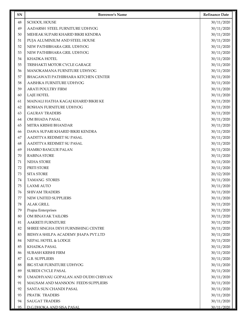| $\sqrt{48}$<br><b>SCHOOL HOUSE</b><br>30/11/2020<br>49<br>AADARSH STEEL FURNITURE UDHYOG<br>30/11/2020<br>50<br>MEHEAK SUPARI KHARID BIKRI KENDRA<br>30/11/2020<br>51<br>PUJA ALUMINIUM AND STEEL HOUSE<br>30/11/2020<br>52<br>NEW PATHIBHARA GRIL UDHYOG<br>30/11/2020<br>53<br>NEW PATHIBHARA GRIL UDHYOG<br>30/11/2020<br>54<br>KHADKA HOTEL<br>30/11/2020<br>55<br>TRISHAKTI MOTOR CYCLE GARAGE<br>30/11/2020<br>MANOKAMANA FURNITURE UDHYOG<br>30/11/2020<br>56<br>57<br>BHAGAWATI PATHIBHARA KITCHEN CENTER<br>30/11/2020<br>58<br>AAISHKA FURNITURE UDHYOG<br>30/11/2020<br>59<br><b>ARATI POULTRY FIRM</b><br>30/11/2020<br>LAJE HOTEL<br>30/11/2020<br>60<br>MAINALI HATHA KAGAJ KHARID BIKRI KE<br>30/11/2020<br>61<br>62<br>ROSHAN FURNITURE UDHYOG<br>30/11/2020 | <b>Refinance Date</b> |
|------------------------------------------------------------------------------------------------------------------------------------------------------------------------------------------------------------------------------------------------------------------------------------------------------------------------------------------------------------------------------------------------------------------------------------------------------------------------------------------------------------------------------------------------------------------------------------------------------------------------------------------------------------------------------------------------------------------------------------------------------------------------------|-----------------------|
|                                                                                                                                                                                                                                                                                                                                                                                                                                                                                                                                                                                                                                                                                                                                                                              |                       |
|                                                                                                                                                                                                                                                                                                                                                                                                                                                                                                                                                                                                                                                                                                                                                                              |                       |
|                                                                                                                                                                                                                                                                                                                                                                                                                                                                                                                                                                                                                                                                                                                                                                              |                       |
|                                                                                                                                                                                                                                                                                                                                                                                                                                                                                                                                                                                                                                                                                                                                                                              |                       |
|                                                                                                                                                                                                                                                                                                                                                                                                                                                                                                                                                                                                                                                                                                                                                                              |                       |
|                                                                                                                                                                                                                                                                                                                                                                                                                                                                                                                                                                                                                                                                                                                                                                              |                       |
|                                                                                                                                                                                                                                                                                                                                                                                                                                                                                                                                                                                                                                                                                                                                                                              |                       |
|                                                                                                                                                                                                                                                                                                                                                                                                                                                                                                                                                                                                                                                                                                                                                                              |                       |
|                                                                                                                                                                                                                                                                                                                                                                                                                                                                                                                                                                                                                                                                                                                                                                              |                       |
|                                                                                                                                                                                                                                                                                                                                                                                                                                                                                                                                                                                                                                                                                                                                                                              |                       |
|                                                                                                                                                                                                                                                                                                                                                                                                                                                                                                                                                                                                                                                                                                                                                                              |                       |
|                                                                                                                                                                                                                                                                                                                                                                                                                                                                                                                                                                                                                                                                                                                                                                              |                       |
|                                                                                                                                                                                                                                                                                                                                                                                                                                                                                                                                                                                                                                                                                                                                                                              |                       |
|                                                                                                                                                                                                                                                                                                                                                                                                                                                                                                                                                                                                                                                                                                                                                                              |                       |
|                                                                                                                                                                                                                                                                                                                                                                                                                                                                                                                                                                                                                                                                                                                                                                              |                       |
| <b>GAURAV TRADERS</b><br>30/11/2020<br>63                                                                                                                                                                                                                                                                                                                                                                                                                                                                                                                                                                                                                                                                                                                                    |                       |
| OM BHADA PASAL<br>30/11/2020<br>64                                                                                                                                                                                                                                                                                                                                                                                                                                                                                                                                                                                                                                                                                                                                           |                       |
| 65<br>MITRA KRISHI BHANDAR<br>30/11/2020                                                                                                                                                                                                                                                                                                                                                                                                                                                                                                                                                                                                                                                                                                                                     |                       |
| DAWA SUPARI KHARID BIKRI KENDRA<br>30/11/2020<br>66                                                                                                                                                                                                                                                                                                                                                                                                                                                                                                                                                                                                                                                                                                                          |                       |
| AADITTYA REDIMET SU PASAL<br>30/11/2020<br>67                                                                                                                                                                                                                                                                                                                                                                                                                                                                                                                                                                                                                                                                                                                                |                       |
| AADITTYA REDIMET SU PASAL<br>30/11/2020<br>68                                                                                                                                                                                                                                                                                                                                                                                                                                                                                                                                                                                                                                                                                                                                |                       |
| 69<br><b>HAMRO BANGUR PALAN</b><br>30/11/2020                                                                                                                                                                                                                                                                                                                                                                                                                                                                                                                                                                                                                                                                                                                                |                       |
| <b>RABINA STORE</b><br>30/11/2020<br>70                                                                                                                                                                                                                                                                                                                                                                                                                                                                                                                                                                                                                                                                                                                                      |                       |
| <b>NEHA STORE</b><br>30/11/2020<br>71                                                                                                                                                                                                                                                                                                                                                                                                                                                                                                                                                                                                                                                                                                                                        |                       |
| 72<br>PRITI STORE<br>30/11/2020                                                                                                                                                                                                                                                                                                                                                                                                                                                                                                                                                                                                                                                                                                                                              |                       |
| 73<br><b>SITA STORE</b><br>20/12/2020                                                                                                                                                                                                                                                                                                                                                                                                                                                                                                                                                                                                                                                                                                                                        |                       |
| <b>TAMANG STORES</b><br>30/11/2020<br>74                                                                                                                                                                                                                                                                                                                                                                                                                                                                                                                                                                                                                                                                                                                                     |                       |
| 75<br><b>LAXMI AUTO</b><br>30/11/2020                                                                                                                                                                                                                                                                                                                                                                                                                                                                                                                                                                                                                                                                                                                                        |                       |
| 76<br><b>SHIVAM TRADERS</b><br>30/11/2020                                                                                                                                                                                                                                                                                                                                                                                                                                                                                                                                                                                                                                                                                                                                    |                       |
| NEW UNITED SUPPLIERS<br>77<br>30/11/2020                                                                                                                                                                                                                                                                                                                                                                                                                                                                                                                                                                                                                                                                                                                                     |                       |
| 78<br><b>ALAK GRILL</b><br>30/11/2020                                                                                                                                                                                                                                                                                                                                                                                                                                                                                                                                                                                                                                                                                                                                        |                       |
| 79<br>Prajna Enterprises<br>30/11/2020                                                                                                                                                                                                                                                                                                                                                                                                                                                                                                                                                                                                                                                                                                                                       |                       |
| 80<br>OM BINAYAK TAILORS<br>30/11/2020                                                                                                                                                                                                                                                                                                                                                                                                                                                                                                                                                                                                                                                                                                                                       |                       |
| AAKRETI FURNITURE<br>30/11/2020<br>81                                                                                                                                                                                                                                                                                                                                                                                                                                                                                                                                                                                                                                                                                                                                        |                       |
| 82<br>SHREE SINGHA DEVI FURNISHING CENTRE<br>30/11/2020                                                                                                                                                                                                                                                                                                                                                                                                                                                                                                                                                                                                                                                                                                                      |                       |
| 83<br>BIDHYA SHILPA ACADEMY JHAPA PVT.LTD<br>30/11/2020                                                                                                                                                                                                                                                                                                                                                                                                                                                                                                                                                                                                                                                                                                                      |                       |
| 84<br>NEPAL HOTEL & LODGE<br>30/11/2020                                                                                                                                                                                                                                                                                                                                                                                                                                                                                                                                                                                                                                                                                                                                      |                       |
| 85<br>KHADKA PASAL<br>30/11/2020                                                                                                                                                                                                                                                                                                                                                                                                                                                                                                                                                                                                                                                                                                                                             |                       |
| SUBASH KRISHI FIRM<br>30/11/2020<br>86                                                                                                                                                                                                                                                                                                                                                                                                                                                                                                                                                                                                                                                                                                                                       |                       |
| 87<br>G.B. SUPPLIERS<br>30/11/2020                                                                                                                                                                                                                                                                                                                                                                                                                                                                                                                                                                                                                                                                                                                                           |                       |
| 88<br>BIG STAR FURNITURE UDHYOG<br>30/11/2020                                                                                                                                                                                                                                                                                                                                                                                                                                                                                                                                                                                                                                                                                                                                |                       |
| <b>SUBEDI CYCLE PASAL</b><br>89<br>30/11/2020                                                                                                                                                                                                                                                                                                                                                                                                                                                                                                                                                                                                                                                                                                                                |                       |
| UMADHYANU GOPALAN AND DUDH CHISYAN<br>30/11/2020<br>90                                                                                                                                                                                                                                                                                                                                                                                                                                                                                                                                                                                                                                                                                                                       |                       |
| MAUSAM AND MANSOON FEEDS SUPPLIERS<br>30/11/2020<br>91                                                                                                                                                                                                                                                                                                                                                                                                                                                                                                                                                                                                                                                                                                                       |                       |
| 92<br>SANTA SUN CHANDI PASAL<br>30/11/2020                                                                                                                                                                                                                                                                                                                                                                                                                                                                                                                                                                                                                                                                                                                                   |                       |
| 93<br>PRATIK TRADERS<br>30/11/2020                                                                                                                                                                                                                                                                                                                                                                                                                                                                                                                                                                                                                                                                                                                                           |                       |
| 94<br><b>SAUGAT TRADERS</b><br>30/11/2020<br>95<br>D.G.DHOKA AND SISA PASAL<br>30/11/2020                                                                                                                                                                                                                                                                                                                                                                                                                                                                                                                                                                                                                                                                                    |                       |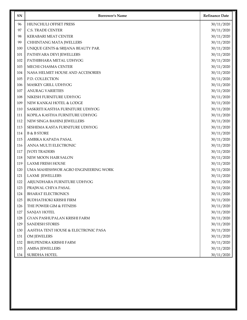| <b>SN</b> | <b>Borrower's Name</b>              | <b>Refinance Date</b> |
|-----------|-------------------------------------|-----------------------|
| 96        | HIUNCHULI OFFSET PRESS              | 30/11/2020            |
| 97        | <b>C.S. TRADE CENTER</b>            | 30/11/2020            |
| 98        | <b>KERABARI MEAT CENTER</b>         | 30/11/2020            |
| 99        | CHHINTANG MATA JWELLERS             | 30/11/2020            |
| 100       | UNIQUE GENTS & SRIJANA BEAUTY PAR.  | 30/11/2020            |
| 101       | PATHIVARA DEVI JEWELLERS            | 30/11/2020            |
| 102       | PATHIBHARA METAL UDHYOG             | 30/11/2020            |
| 103       | MECHI CHASMA CENTER                 | 30/11/2020            |
| 104       | NASA HELMET HOUSE AND ACCESORIES    | 30/11/2020            |
| 105       | P.D. COLLECTION                     | 30/11/2020            |
| 106       | MASKEY GRILL UDHYOG                 | 30/11/2020            |
| 107       | <b>ANURAG VARIETIES</b>             | 30/11/2020            |
| 108       | NIKESH FURNITURE UDHYOG             | 30/11/2020            |
| 109       | NEW KANKAI HOTEL & LODGE            | 30/11/2020            |
| 110       | SASKRITI KASTHA FURNITURE UDHYOG    | 30/11/2020            |
| 111       | KOPILA KASTHA FURNITURE UDHYOG      | 30/11/2020            |
| 112       | NEW SINGA BAHINI JEWELLERS          | 30/11/2020            |
| 113       | SESHEMA KASTA FURNITURE UDHYOG      | 30/11/2020            |
| 114       | <b>B &amp; B STORE</b>              | 30/11/2020            |
| 115       | AMBIKA KAPADA PASAL                 | 30/11/2020            |
| 116       | ANNA MULTI ELECTRONIC               | 30/11/2020            |
| 117       | <b>JYOTI TRADERS</b>                | 30/11/2020            |
| 118       | NEW MOON HAIR SALON                 | 30/11/2020            |
| 119       | <b>LAXMI FRESH HOUSE</b>            | 30/11/2020            |
| 120       | UMA MAHESHWOR AGRO ENGINEERING WORK | 30/11/2020            |
| 121       | <b>LAXMI JEWELLERS</b>              | 30/11/2020            |
| 122       | ARJUNDHARA FURNITURE UDHYOG         | 30/11/2020            |
| 123       | PRAJWAL CHIYA PASAL                 | 30/11/2020            |
| 124       | <b>BHARAT ELECTRONICS</b>           | 30/11/2020            |
| 125       | <b>BUDHATHOKI KRISHI FIRM</b>       | 30/11/2020            |
| 126       | THE POWER GIM & FITNESS             | 30/11/2020            |
| 127       | SANJAY HOTEL                        | 30/11/2020            |
| 128       | GYAN PASHUPALAN KRISHI FARM         | 30/11/2020            |
| 129       | <b>SANDESH STORES</b>               | 30/11/2020            |
| 130       | AASTHA TENT HOUSE & ELECTRONIC PASA | 30/11/2020            |
| 131       | OM JEWELERS                         | 30/11/2020            |
| 132       | <b>BHUPENDRA KRISHI FARM</b>        | 30/11/2020            |
| 133       | <b>AMISA JEWELLERS</b>              | 30/11/2020            |
| 134       | SUBIDHA HOTEL                       | 30/11/2020            |